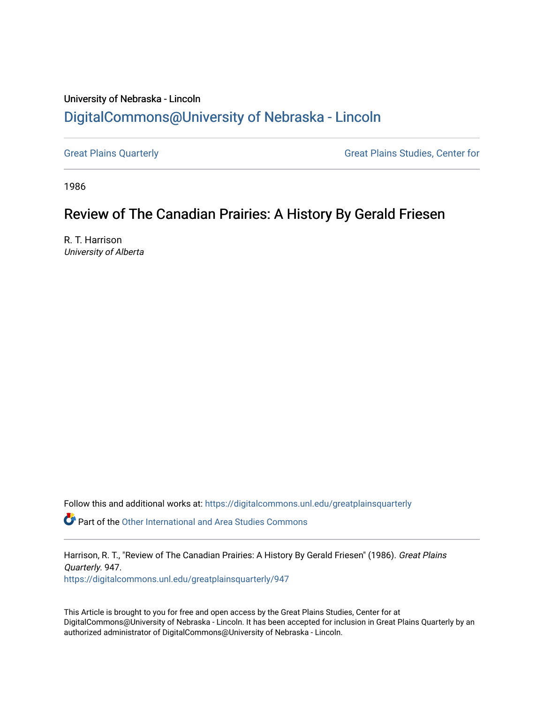## University of Nebraska - Lincoln [DigitalCommons@University of Nebraska - Lincoln](https://digitalcommons.unl.edu/)

[Great Plains Quarterly](https://digitalcommons.unl.edu/greatplainsquarterly) **Great Plains Studies**, Center for

1986

## Review of The Canadian Prairies: A History By Gerald Friesen

R. T. Harrison University of Alberta

Follow this and additional works at: [https://digitalcommons.unl.edu/greatplainsquarterly](https://digitalcommons.unl.edu/greatplainsquarterly?utm_source=digitalcommons.unl.edu%2Fgreatplainsquarterly%2F947&utm_medium=PDF&utm_campaign=PDFCoverPages)

**P** Part of the [Other International and Area Studies Commons](http://network.bepress.com/hgg/discipline/365?utm_source=digitalcommons.unl.edu%2Fgreatplainsquarterly%2F947&utm_medium=PDF&utm_campaign=PDFCoverPages)

Harrison, R. T., "Review of The Canadian Prairies: A History By Gerald Friesen" (1986). Great Plains Quarterly. 947.

[https://digitalcommons.unl.edu/greatplainsquarterly/947](https://digitalcommons.unl.edu/greatplainsquarterly/947?utm_source=digitalcommons.unl.edu%2Fgreatplainsquarterly%2F947&utm_medium=PDF&utm_campaign=PDFCoverPages) 

This Article is brought to you for free and open access by the Great Plains Studies, Center for at DigitalCommons@University of Nebraska - Lincoln. It has been accepted for inclusion in Great Plains Quarterly by an authorized administrator of DigitalCommons@University of Nebraska - Lincoln.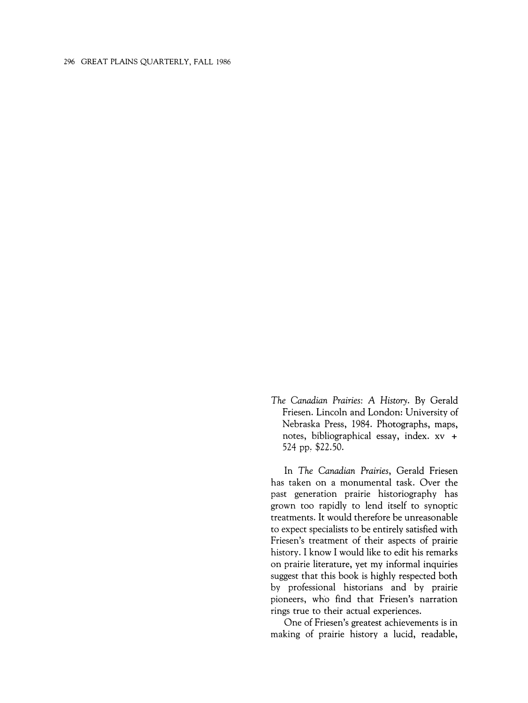## 296 GREAT PLAINS QUARTERLY, FALL 1986

*The Canadian Prairies:* A *History.* By Gerald Friesen. Lincoln and London: University of Nebraska Press, 1984. Photographs, maps, notes, bibliographical essay, index. xv + 524 pp, \$22.50.

In *The Canadian Prairies,* Gerald Friesen has taken on a monumental task. Over the past generation prairie historiography has grown too rapidly to lend itself to synoptic treatments. It would therefore be unreasonable to expect specialists to be entirely satisfied with Friesen's treatment of their aspects of prairie history. I know I would like to edit his remarks on prairie literature, yet my informal inquiries suggest that this book is highly respected both by professional historians and by prairie pioneers, who find that Friesen's narration rings true to their actual experiences.

One of Friesen's greatest achievements is in making of prairie history a lucid, readable,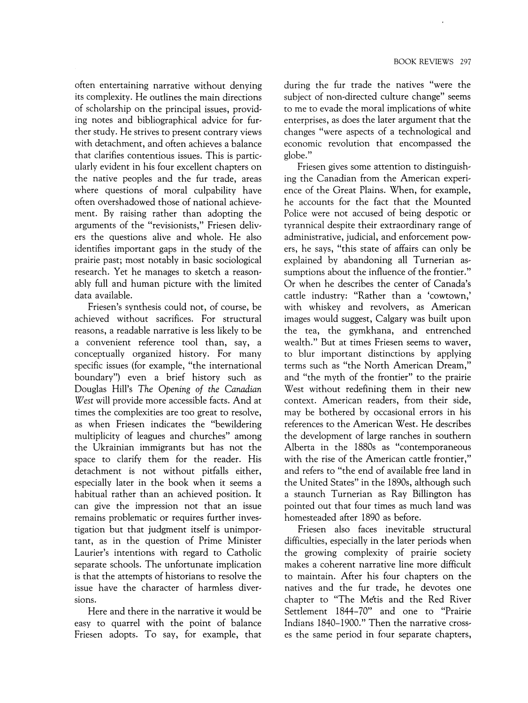often entertaining narrative without denying its complexity. He outlines the main directions of scholarship on the principal issues, providing notes and bibliographical advice for further study. He strives to present contrary views with detachment, and often achieves a balance that clarifies contentious issues. This is particularly evident in his four excellent chapters on the native peoples and the fur trade, areas where questions of moral culpability have often overshadowed those of national achievement. By raising rather than adopting the arguments of the "revisionists," Friesen delivers the questions alive and whole. He also identifies important gaps in the study of the prairie past; most notably in basic sociological research. Yet he manages to sketch a reasonably full and human picture with the limited data available.

Friesen's synthesis could not, of course, be achieved without sacrifices. For structural reasons, a readable narrative is less likely to be a convenient reference tool than, say, a conceptually organized history. For many specific issues (for example, "the international boundary") even a brief history such as Douglas Hill's *The Opening of the Canadian West* will provide more accessible facts. And at times the complexities are too great to resolve, as when Friesen indicates the "bewildering multiplicity of leagues and churches" among the Ukrainian immigrants but has not the space to clarify them for the reader. His detachment is not without pitfalls either, especially later in the book when it seems a habitual rather than an achieved position. It can give the impression not that an issue remains problematic or requires further investigation but that judgment itself is unimportant, as in the question of Prime Minister Laurier's intentions with regard to Catholic separate schools. The unfortunate implication is that the attempts of historians to resolve the issue have the character of harmless diversions.

Here and there in the narrative it would be easy to quarrel with the point of balance Friesen adopts. To say, for example, that

during the fur trade the natives "were the subject of non-directed culture change" seems to me to evade the moral implications of white enterprises, as does the later argument that the changes "were aspects of a technological and economic revolution that encompassed the globe."

Friesen gives some attention to distinguishing the Canadian from the American experience of the Great Plains. When, for example, he accounts for the fact that the Mounted Police were not accused of being despotic or tyrannical despite their extraordinary range of administrative, judicial, and enforcement powers, he says, "this state of affairs can only be explained by abandoning all Turnerian assumptions about the influence of the frontier." Or when he describes the center of Canada's cattle industry: "Rather than a 'cowtown,' with whiskey and revolvers, as American images would suggest, Calgary was built upon the tea, the gymkhana, and entrenched wealth." But at times Friesen seems to waver, to blur important distinctions by applying terms such as "the North American Dream," and "the myth of the frontier" to the prairie West without redefining them in their new context. American readers, from their side, may be bothered by occasional errors in his references to the American West. He describes the development of large ranches in southern Alberta in the 1880s as "contemporaneous with the rise of the American cattle frontier," and refers to "the end of available free land in the United States" in the 1890s, although such a staunch Turnerian as Ray Billington has pointed out that four times as much land was homesteaded after 1890 as before.

Friesen also faces inevitable structural difficulties, especially in the later periods when the growing complexity of prairie society makes a coherent narrative line more difficult to maintain. After his four chapters on the natives and the fur trade, he devotes one chapter to "The Metis and the Red River Settlement 1844-70" and one to "Prairie Indians 1840-1900." Then the narrative crosses the same period in four separate chapters,